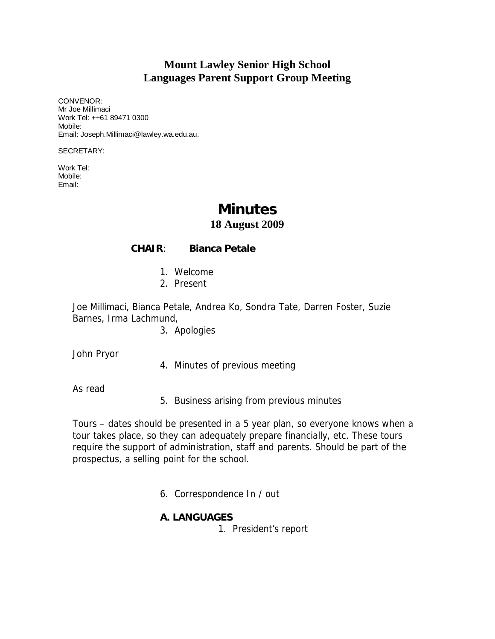## **Mount Lawley Senior High School Languages Parent Support Group Meeting**

CONVENOR: Mr Joe Millimaci Work Tel: ++61 89471 0300 Mobile: Email: Joseph.Millimaci@lawley.wa.edu.au.

SECRETARY:

Work Tel: Mobile: Email:

# **Minutes**

#### **18 August 2009**

#### **CHAIR**: **Bianca Petale**

- 1. Welcome
- 2. Present

Joe Millimaci, Bianca Petale, Andrea Ko, Sondra Tate, Darren Foster, Suzie Barnes, Irma Lachmund,

3. Apologies

John Pryor

4. Minutes of previous meeting

As read

5. Business arising from previous minutes

Tours – dates should be presented in a 5 year plan, so everyone knows when a tour takes place, so they can adequately prepare financially, etc. These tours require the support of administration, staff and parents. Should be part of the prospectus, a selling point for the school.

6. Correspondence In / out

#### **A. LANGUAGES**

1. President's report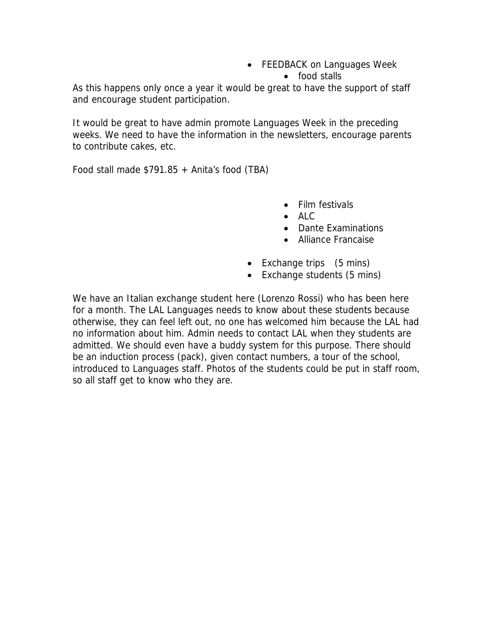• FEEDBACK on Languages Week

• food stalls

As this happens only once a year it would be great to have the support of staff and encourage student participation.

It would be great to have admin promote Languages Week in the preceding weeks. We need to have the information in the newsletters, encourage parents to contribute cakes, etc.

Food stall made  $$791.85 + Antia's food (TBA)$ 

- Film festivals
- ALC
- Dante Examinations
- Alliance Francaise
- Exchange trips (5 mins)
- Exchange students (5 mins)

We have an Italian exchange student here (Lorenzo Rossi) who has been here for a month. The LAL Languages needs to know about these students because otherwise, they can feel left out, no one has welcomed him because the LAL had no information about him. Admin needs to contact LAL when they students are admitted. We should even have a buddy system for this purpose. There should be an induction process (pack), given contact numbers, a tour of the school, introduced to Languages staff. Photos of the students could be put in staff room, so all staff get to know who they are.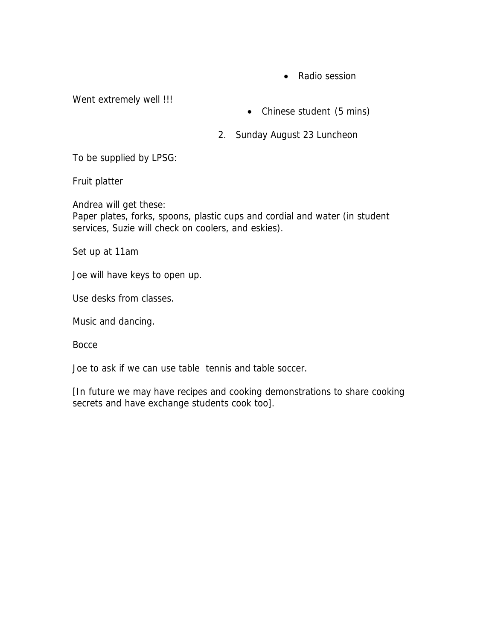• Radio session

Went extremely well !!!

- Chinese student (5 mins)
- 2. Sunday August 23 Luncheon

To be supplied by LPSG:

Fruit platter

Andrea will get these: Paper plates, forks, spoons, plastic cups and cordial and water (in student services, Suzie will check on coolers, and eskies).

Set up at 11am

Joe will have keys to open up.

Use desks from classes.

Music and dancing.

**Bocce** 

Joe to ask if we can use table tennis and table soccer.

[In future we may have recipes and cooking demonstrations to share cooking secrets and have exchange students cook too].